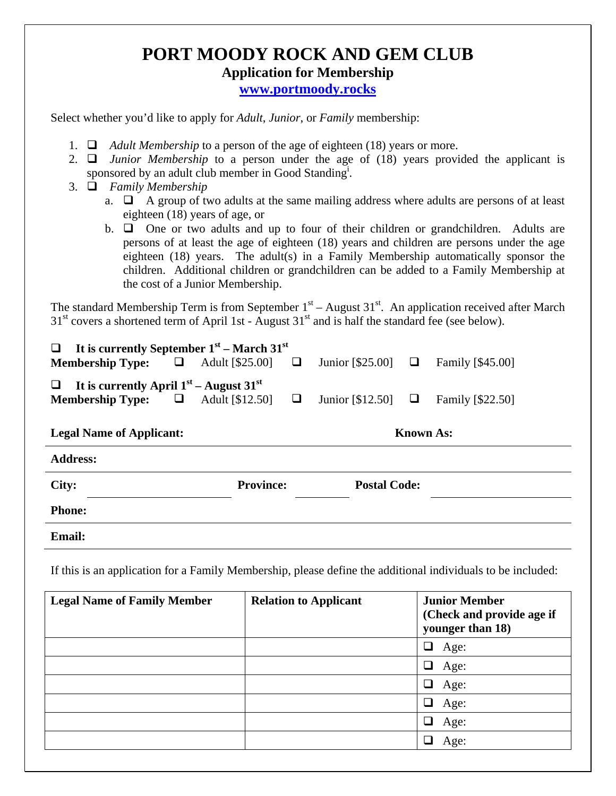## **PORT MOODY ROCK AND GEM CLUB Application for Membership www.portmoody.rocks**

Select whether you'd like to apply for *Adult*, *Junior*, or *Family* membership:

- 1. *Adult Membership* to a person of the age of eighteen (18) years or more.
- 2.  $\Box$  *Junior Membership* to a person under the age of (18) years provided the applicant is sponsored by an adult club member in Good Standing<sup>i</sup>.
- 3. *Family Membership*
	- a.  $\Box$  A group of two adults at the same mailing address where adults are persons of at least eighteen (18) years of age, or
	- b.  $\Box$  One or two adults and up to four of their children or grandchildren. Adults are persons of at least the age of eighteen (18) years and children are persons under the age eighteen (18) years. The adult(s) in a Family Membership automatically sponsor the children. Additional children or grandchildren can be added to a Family Membership at the cost of a Junior Membership.

The standard Membership Term is from September  $1<sup>st</sup>$  – August 31<sup>st</sup>. An application received after March  $31<sup>st</sup>$  covers a shortened term of April 1st - August  $31<sup>st</sup>$  and is half the standard fee (see below).

| It is currently September $1st$ – March $31st$<br>$\Box$<br><b>Membership Type:</b>     | $\Box$ | Adult [\$25.00]  |  | Junior [\$25.00] $\Box$ |   | Family [\$45.00] |
|-----------------------------------------------------------------------------------------|--------|------------------|--|-------------------------|---|------------------|
| It is currently April $1st$ – August $31st$<br>$\Box$<br><b>Membership Type:</b> $\Box$ |        | Adult [\$12.50]  |  | Junior [\$12.50]        | ⊔ | Family [\$22.50] |
| <b>Known As:</b><br><b>Legal Name of Applicant:</b>                                     |        |                  |  |                         |   |                  |
| <b>Address:</b>                                                                         |        |                  |  |                         |   |                  |
| City:                                                                                   |        | <b>Province:</b> |  | <b>Postal Code:</b>     |   |                  |
| <b>Phone:</b>                                                                           |        |                  |  |                         |   |                  |
| <b>Email:</b>                                                                           |        |                  |  |                         |   |                  |

If this is an application for a Family Membership, please define the additional individuals to be included:

| <b>Legal Name of Family Member</b> | <b>Relation to Applicant</b> | <b>Junior Member</b><br>(Check and provide age if<br>younger than 18) |
|------------------------------------|------------------------------|-----------------------------------------------------------------------|
|                                    |                              | Age:                                                                  |
|                                    |                              | Age:<br>ப                                                             |
|                                    |                              | Age:<br>- I                                                           |
|                                    |                              | ❏<br>Age:                                                             |
|                                    |                              | Age:                                                                  |
|                                    |                              | Age:                                                                  |